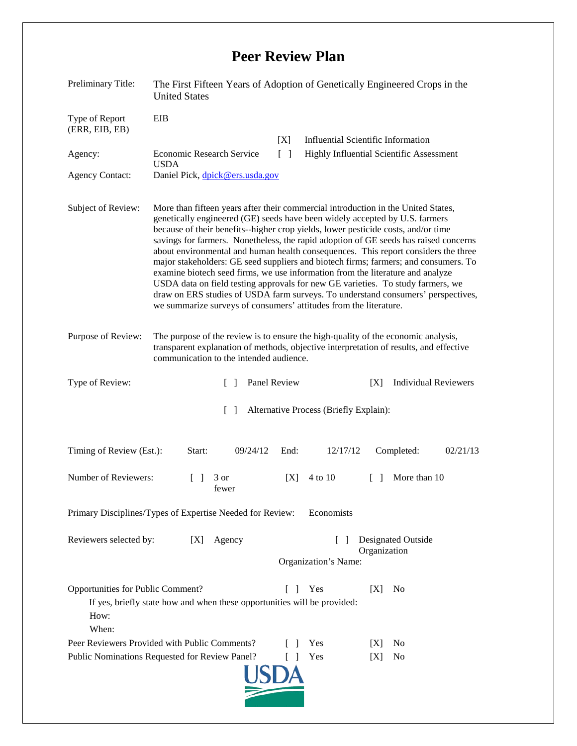## **Peer Review Plan**

| Preliminary Title:                                                                                                                                           | The First Fifteen Years of Adoption of Genetically Engineered Crops in the<br><b>United States</b>                                                                                                                                                                                                                                                                                                                                                                                                                                                                                                                                                                                                                                                                                                                                                       |
|--------------------------------------------------------------------------------------------------------------------------------------------------------------|----------------------------------------------------------------------------------------------------------------------------------------------------------------------------------------------------------------------------------------------------------------------------------------------------------------------------------------------------------------------------------------------------------------------------------------------------------------------------------------------------------------------------------------------------------------------------------------------------------------------------------------------------------------------------------------------------------------------------------------------------------------------------------------------------------------------------------------------------------|
| Type of Report<br>(ERR, EIB, EB)<br>Agency:<br><b>Agency Contact:</b>                                                                                        | EIB<br><b>Influential Scientific Information</b><br>[X]<br><b>Economic Research Service</b><br>$\lceil \; \rceil$<br>Highly Influential Scientific Assessment<br><b>USDA</b><br>Daniel Pick, dpick@ers.usda.gov                                                                                                                                                                                                                                                                                                                                                                                                                                                                                                                                                                                                                                          |
| Subject of Review:                                                                                                                                           | More than fifteen years after their commercial introduction in the United States,<br>genetically engineered (GE) seeds have been widely accepted by U.S. farmers<br>because of their benefits--higher crop yields, lower pesticide costs, and/or time<br>savings for farmers. Nonetheless, the rapid adoption of GE seeds has raised concerns<br>about environmental and human health consequences. This report considers the three<br>major stakeholders: GE seed suppliers and biotech firms; farmers; and consumers. To<br>examine biotech seed firms, we use information from the literature and analyze<br>USDA data on field testing approvals for new GE varieties. To study farmers, we<br>draw on ERS studies of USDA farm surveys. To understand consumers' perspectives,<br>we summarize surveys of consumers' attitudes from the literature. |
| Purpose of Review:                                                                                                                                           | The purpose of the review is to ensure the high-quality of the economic analysis,<br>transparent explanation of methods, objective interpretation of results, and effective<br>communication to the intended audience.                                                                                                                                                                                                                                                                                                                                                                                                                                                                                                                                                                                                                                   |
| Type of Review:                                                                                                                                              | Panel Review<br><b>Individual Reviewers</b><br>[X]<br>$\Box$                                                                                                                                                                                                                                                                                                                                                                                                                                                                                                                                                                                                                                                                                                                                                                                             |
|                                                                                                                                                              | Alternative Process (Briefly Explain):<br>$\Box$                                                                                                                                                                                                                                                                                                                                                                                                                                                                                                                                                                                                                                                                                                                                                                                                         |
| Timing of Review (Est.):                                                                                                                                     | 09/24/12<br>Start:<br>End:<br>12/17/12<br>Completed:<br>02/21/13                                                                                                                                                                                                                                                                                                                                                                                                                                                                                                                                                                                                                                                                                                                                                                                         |
| Number of Reviewers:                                                                                                                                         | More than 10<br>[X]<br>4 to 10<br>3 or<br>$\Box$<br>fewer                                                                                                                                                                                                                                                                                                                                                                                                                                                                                                                                                                                                                                                                                                                                                                                                |
| Primary Disciplines/Types of Expertise Needed for Review:<br>Economists                                                                                      |                                                                                                                                                                                                                                                                                                                                                                                                                                                                                                                                                                                                                                                                                                                                                                                                                                                          |
| Reviewers selected by:                                                                                                                                       | <b>Designated Outside</b><br>[X]<br>Agency<br>L<br>Organization<br>Organization's Name:                                                                                                                                                                                                                                                                                                                                                                                                                                                                                                                                                                                                                                                                                                                                                                  |
| Opportunities for Public Comment?<br>Yes<br>[X]<br>No<br>$\Box$<br>If yes, briefly state how and when these opportunities will be provided:<br>How:<br>When: |                                                                                                                                                                                                                                                                                                                                                                                                                                                                                                                                                                                                                                                                                                                                                                                                                                                          |
|                                                                                                                                                              | Peer Reviewers Provided with Public Comments?<br>Yes<br>No<br>IXI<br>$\overline{1}$                                                                                                                                                                                                                                                                                                                                                                                                                                                                                                                                                                                                                                                                                                                                                                      |
| Public Nominations Requested for Review Panel?<br>Yes<br>[X]<br>No<br>$\Box$                                                                                 |                                                                                                                                                                                                                                                                                                                                                                                                                                                                                                                                                                                                                                                                                                                                                                                                                                                          |